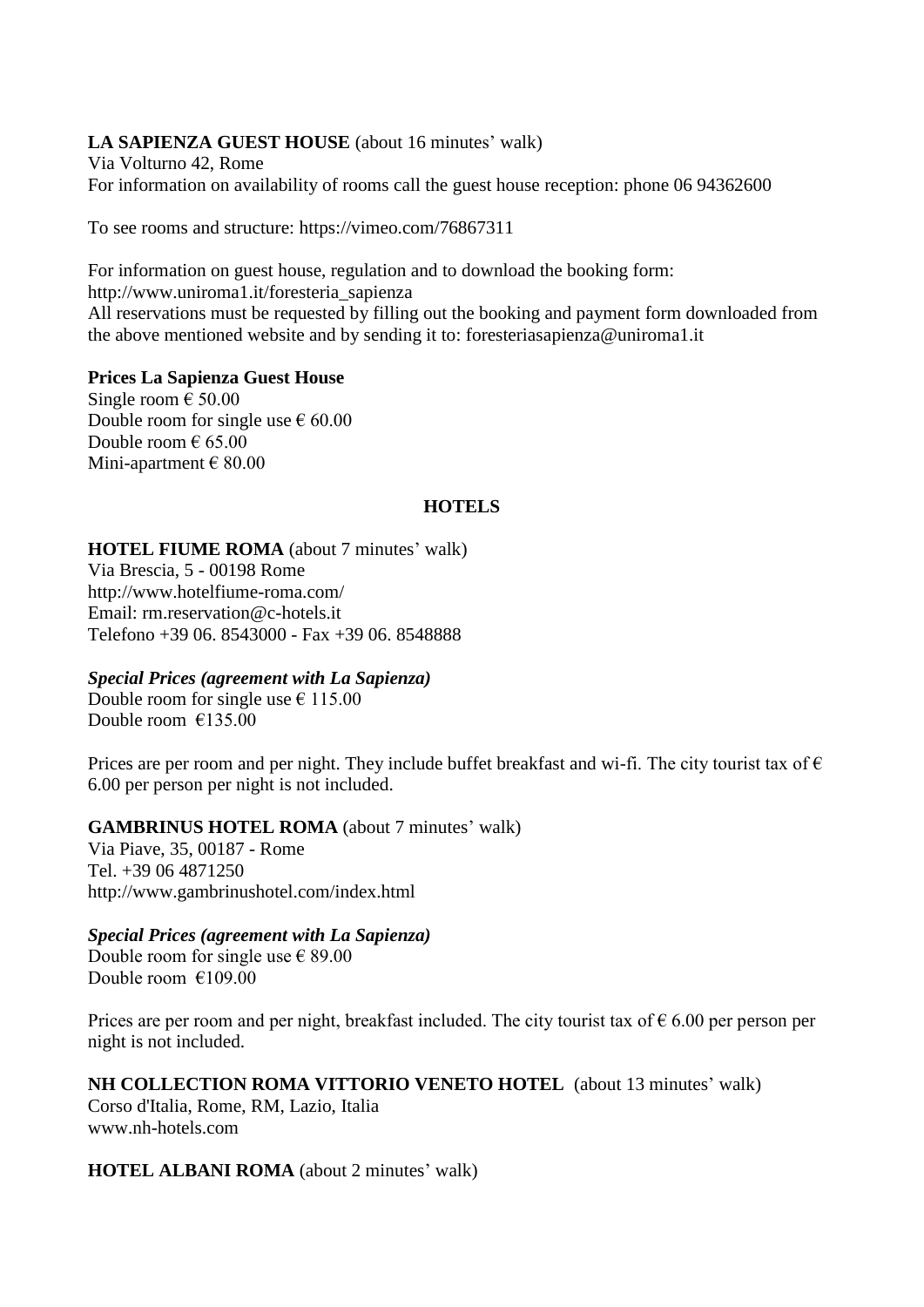## **LA SAPIENZA GUEST HOUSE** (about 16 minutes' walk)

Via Volturno 42, Rome For information on availability of rooms call the guest house reception: phone 06 94362600

To see rooms and structure: https://vimeo.com/76867311

For information on guest house, regulation and to download the booking form: http://www.uniroma1.it/foresteria\_sapienza All reservations must be requested by filling out the booking and payment form downloaded from the above mentioned website and by sending it to: foresteriasapienza@uniroma1.it

#### **Prices La Sapienza Guest House**

Single room  $\in$  50.00 Double room for single use  $\epsilon$  60.00 Double room  $\epsilon$  65.00 Mini-apartment  $\in$  80.00

#### **HOTELS**

**HOTEL FIUME ROMA** (about 7 minutes' walk) Via Brescia, 5 - 00198 Rome <http://www.hotelfiume-roma.com/> Email: rm.reservation@c-hotels.it Telefono +39 06. 8543000 - Fax +39 06. 8548888

#### *Special Prices (agreement with La Sapienza)*

Double room for single use  $\epsilon$  115.00 Double room €135.00

Prices are per room and per night. They include buffet breakfast and wi-fi. The city tourist tax of  $\epsilon$ 6.00 per person per night is not included.

## **GAMBRINUS HOTEL ROMA** (about 7 minutes' walk)

Via Piave, 35, 00187 - Rome Tel. +39 06 4871250 <http://www.gambrinushotel.com/index.html>

#### *Special Prices (agreement with La Sapienza)*

Double room for single use  $\epsilon$  89.00 Double room €109.00

Prices are per room and per night, breakfast included. The city tourist tax of  $\epsilon$  6.00 per person per night is not included.

**NH COLLECTION ROMA VITTORIO VENETO HOTEL** (about 13 minutes' walk) Corso d'Italia, Rome, RM, Lazio, Italia www.nh-hotels.com

**HOTEL ALBANI ROMA** (about 2 minutes' walk)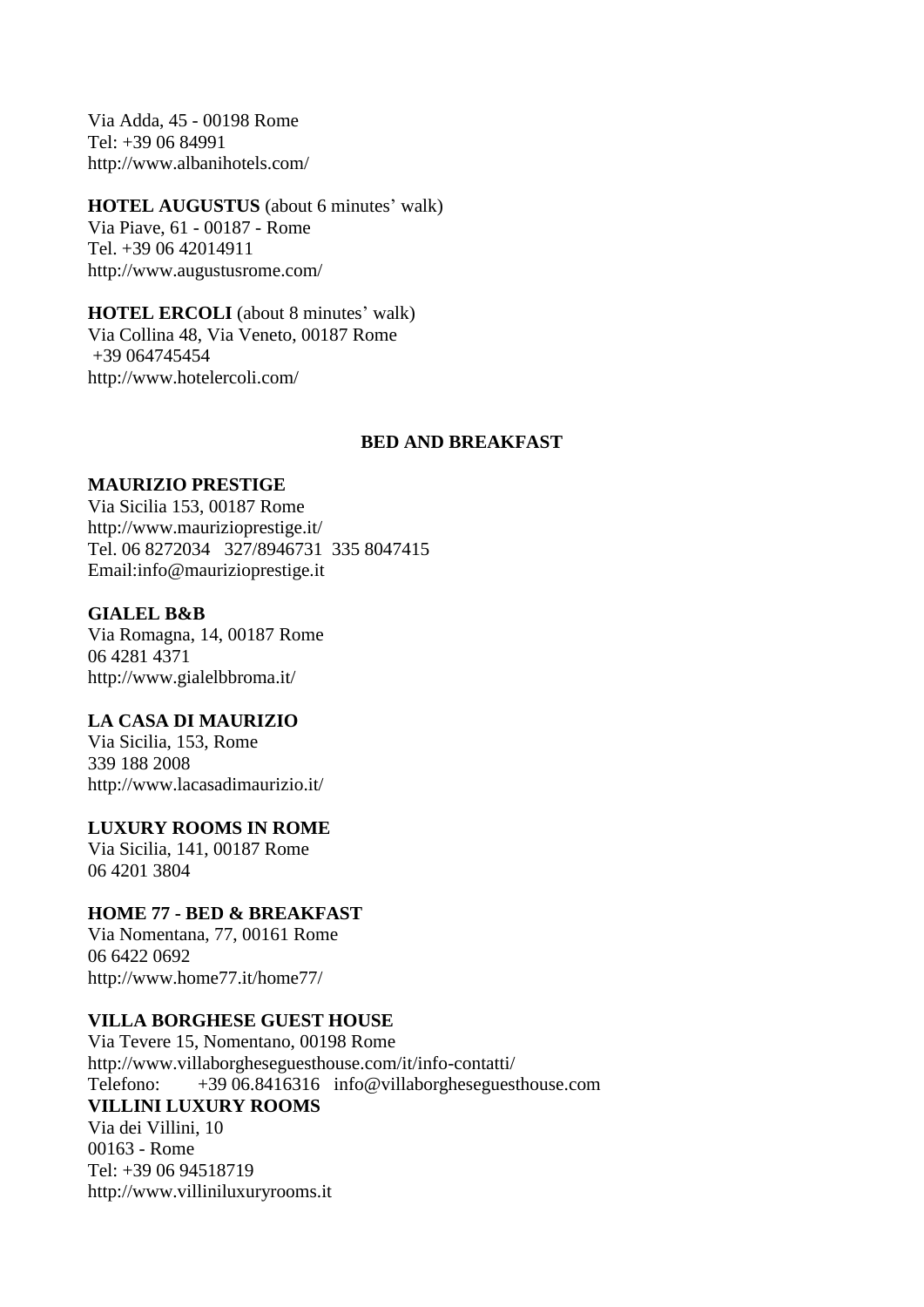Via Adda, 45 - 00198 Rome Tel: +39 06 84991 <http://www.albanihotels.com/>

**HOTEL AUGUSTUS** (about 6 minutes' walk) Via Piave, 61 - 00187 - Rome Tel. +39 06 42014911 <http://www.augustusrome.com/>

#### **HOTEL ERCOLI** (about 8 minutes' walk) Via Collina 48, Via Veneto, 00187 Rome

+39 064745454 <http://www.hotelercoli.com/>

#### **BED AND BREAKFAST**

## **MAURIZIO PRESTIGE**

Via Sicilia 153, 00187 Rome <http://www.maurizioprestige.it/> Tel. 06 8272034 327/8946731 335 8047415 Email:info@maurizioprestige.it

## **GIALEL B&B**

Via Romagna, 14, 00187 Rome [06 4281 4371](javascript:void(0)) <http://www.gialelbbroma.it/>

## **LA CASA DI MAURIZIO**

Via Sicilia, 153, Rome [339 188 2008](javascript:void(0)) http://www.lacasadimaurizio.it/

## **LUXURY ROOMS IN ROME**

Via Sicilia, 141, 00187 Rome [06 4201 3804](javascript:void(0))

# **HOME 77 - BED & BREAKFAST**

Via Nomentana, 77, 00161 Rome [06 6422 0692](javascript:void(0)) <http://www.home77.it/home77/>

# **VILLA BORGHESE GUEST HOUSE**

Via Tevere 15, Nomentano, 00198 Rome http://www.villaborgheseguesthouse.com/it/info-contatti/ Telefono: +39 06.8416316 info@villaborgheseguesthouse.com **VILLINI LUXURY ROOMS** Via dei Villini, 10 00163 - Rome Tel: +39 06 94518719 http://www.villiniluxuryrooms.it